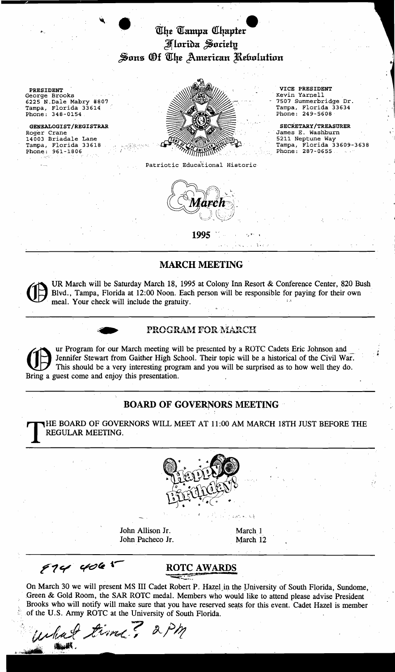# The Tampa Chapter **Morida Society** Sons Of The American Rebolution

14003 Briadale Lane<br>Tampa, Florida 33618



Patriotic Educational Historic



James E. Washburn<br>5211 Neptune Way

I ,

. ,

**1995** ,. . "

 $\lambda \rightarrow \lambda$ 

## **MARCH MEETING**

UR March will be Saturday March 18, 1995 at Colony Inn Resort & Conference Center, 820 Bush Blvd., Tampa, Florida at 12:00 Noon. Each person will be responsible for paying for their own meal. Your check will include the gratuity.



**CO** ur Program for our March meeting will<br>
Bring a guest come and enjoy this presentation. ır I<br>em<br>Ihi ur Program for our March meeting will be presented by a ROTC Cadets Eric Johnson and ' Jennifer Stewart from Gaither High School. Their topic will be a historical of the Civil War. This should be a very interesting program and you will be surprised as to how well they do.

## **BOARD OF GOVERNORS MEETING**

THE BOARD OF GOVERNORS WILL MEET AT 11:00 AM MARCH 18TH JUST BEFORE THE REGULAR MEETING.



John Allison Jr. March 1 John Pacheco Jr. March 12

 $s = 0.3$ 

 $97444061$ 

"""'~"',",..,'

## ROTC AWARDS

On March 30 we will present MS III Cadet Robert P. Hazel in the University of South Florida, Sundome, Green & Gold Room, the SAR ROTC medal. Members who would like to attend please advise President Brooks who will notify will make sure that you have reserved seats for this event. Cadet Hazel is member of the U.S. Army ROTC at the University of South Florida.

..• ··~td "e;'In<-? !A?JJ;  $\mathbb{R}$  ,  $\mathbb{R}$  ,  $\mathbb{R}$  ,  $\mathbb{R}$  ,  $\mathbb{R}$  ,  $\mathbb{R}$  ,  $\mathbb{R}$  ,  $\mathbb{R}$  ,  $\mathbb{R}$  ,  $\mathbb{R}$  ,  $\mathbb{R}$  ,  $\mathbb{R}$  ,  $\mathbb{R}$  ,  $\mathbb{R}$  ,  $\mathbb{R}$  ,  $\mathbb{R}$  ,  $\mathbb{R}$  ,  $\mathbb{R}$  ,  $\mathbb{R}$  ,  $\mathbb{R}$  ,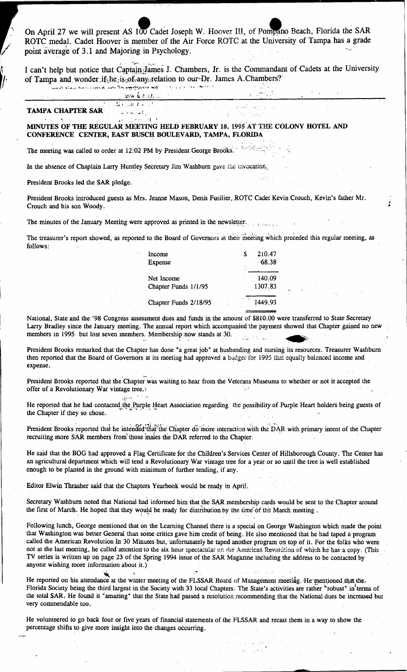On April 27 we will present AS 100 Cadet Joseph W. Hoover III, of Pompano Beach, Florida the SAR ROTC medal. Cadet Hoover is member of the Air Force ROTC at the University of Tampa has a grade point average of 3.1 and Majoring in Psychology.

I can't help but notice that Captain James J. Chambers, Jr. is the Commandant of Cadets at the University of Tampa and wonder if he is of any relation to our Dr. James A. Chambers?

#### would always from your de work the ingerighted of well.  $\sim \epsilon_{\rm p} / \sqrt{\mu}$  and  $\epsilon$  as a construction

### ายน ฉัน กล่ะ"  $\overline{1,1}$  , and  $\overline{1,2}$

### **TAMPA CHAPTER SAR**

### MINUTES OF THE REGULAR MEETING HELD FEBRUARY 18, 1995 AT THE COLONY HOTEL AND CONFERENCE CENTER, EAST BUSCH BOULEVARD, TAMPA, FLORIDA

The meeting was called to order at 12:02 PM by President George Brooks.

In the absence of Chaplain Larry Huntley Secretary Jim Washburn gave the trivocation.

President Brooks led the SAR pledge.

President Brooks introduced guests as Mrs. Jeanne Mason, Denis Fusilier, ROTC Cadet Kevin Crouch, Kevin's father Mr. Crouch and his son Woody.

The minutes of the January Meeting were approved as printed in the newsletter.

The treasurer's report showed, as reported to the Board of Governors at their meeting which preceded this regular meeting, as follows:

| Income                | 210.47   |
|-----------------------|----------|
| Expense               | $-68.38$ |
|                       |          |
| Net Income            | 140.09   |
| Chapter Funds 1/1/95  | 1307.83  |
|                       |          |
| Chapter Funds 2/18/95 | 1449.93  |
|                       |          |

National, State and the '98 Congress assessment dues and funds in the amount of \$810.00 were transferred to State Secretary Larry Bradley since the January meeting. The annual report which accompanied the payment showed that Chapter gained no new members in 1995 but lost seven members. Membership now stands at 30.

President Brooks remarked that the Chapter has done "a great job" at husbanding and nursing its resources. Treasurer Washburn then reported that the Board of Governors at its meeting had approved a budget for 1995 that equally balanced income and expense.

President Brooks reported that the Chapter was waiting to hear from the Veterans Museums to whether or not it accepted the offer of a Revolutionary War vintage tree.

He reported that he had contacted the Purple Heart Association regarding the possibility of Purple Heart holders being guests of the Chapter if they so chose.

President Brooks reported that he intended that the Chapter do more interaction with the DAR with primary intent of the Chapter recruiting more SAR members from those males the DAR referred to the Chapter.

He said that the BOG had approved a Flag Certificate for the Children's Services Center of Hillsborough County. The Center has an agricultural department which will tend a Revolutionary War vintage tree for a year or so until the tree is well established enough to be planted in the ground with minimum of further tending, if any.

Editor Elwin Thrasher said that the Chapters Yearbook would be ready in April.

 $\mathcal{F}^{\text{in}}_{\text{in}}$  ,

 $\sqrt{2}$  to  $\tau$  .

Secretary Washburn noted that National had informed him that the SAR membership cards would be sent to the Chapter around the first of March. He hoped that they would be ready for distribution by the time of the March meeting.

Following lunch, George mentioned that on the Learning Channel there is a special on George Washington which made the point that Washington was better General than some critics gave him credit of being. He also mentioned that he had taped a program called the American Revolution In 30 Minutes but, unfortunately he taped another program on top of it. For the folks who were not at the last meeting, he called attention to the six hour spectacular on the American Revolution of which he has a copy. (This TV series is written up on page 23 of the Spring 1994 issue of the SAR Magazine including the address to be contacted by anyone wishing more information about it.)

He reported on his attendance at the winter meeting of the FLSSAR Board of Management meeting. He mentioned that the Florida Society being the third largest in the Society with 33 local Chapters. The State's activities are rather "robust" in terms of the total SAR. He found it "amazing" that the State had passed a resolution recommending that the National dues be increased but very commendable too.

He volunteered to go back four or five years of financial statements of the FLSSAR and recast them in a way to show the percentage shifts to give more insight into the changes occurring.